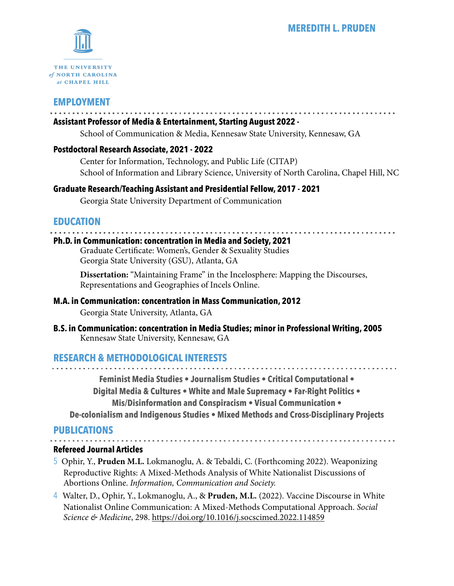

# **EMPLOYMENT**

### **Assistant Professor of Media & Entertainment, Starting August 2022 -**

School of Communication & Media, Kennesaw State University, Kennesaw, GA

### **Postdoctoral Research Associate, 2021 - 2022**

Center for Information, Technology, and Public Life (CITAP) School of Information and Library Science, University of North Carolina, Chapel Hill, NC

### **Graduate Research/Teaching Assistant and Presidential Fellow, 2017 - 2021**

Georgia State University Department of Communication

### **EDUCATION**

## **Ph.D. in Communication: concentration in Media and Society, 2021**

Graduate Certificate: Women's, Gender & Sexuality Studies Georgia State University (GSU), Atlanta, GA

**Dissertation:** "Maintaining Frame" in the Incelosphere: Mapping the Discourses, Representations and Geographies of Incels Online.

### **M.A. in Communication: concentration in Mass Communication, 2012**

Georgia State University, Atlanta, GA

**B.S. in Communication: concentration in Media Studies; minor in Professional Writing, 2005** Kennesaw State University, Kennesaw, GA

### **RESEARCH & METHODOLOGICAL INTERESTS**

**Feminist Media Studies • Journalism Studies • Critical Computational • Digital Media & Cultures • White and Male Supremacy • Far-Right Politics • Mis/Disinformation and Conspiracism • Visual Communication • De-colonialism and Indigenous Studies • Mixed Methods and Cross-Disciplinary Projects** 

### **PUBLICATIONS**

**Refereed Journal Articles**

- 5 Ophir, Y., **Pruden M.L.** Lokmanoglu, A. & Tebaldi, C. (Forthcoming 2022). Weaponizing Reproductive Rights: A Mixed-Methods Analysis of White Nationalist Discussions of Abortions Online. *Information, Communication and Society.*
- 4 Walter, D., Ophir, Y., Lokmanoglu, A., & **Pruden, M.L.** (2022). Vaccine Discourse in White Nationalist Online Communication: A Mixed-Methods Computational Approach. *Social Science & Medicine*, 298.<https://doi.org/10.1016/j.socscimed.2022.114859>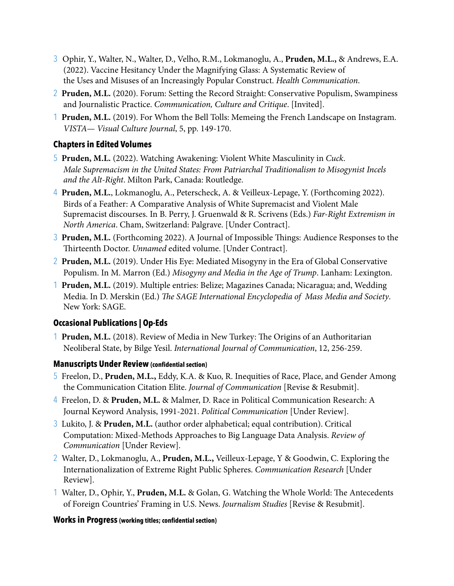- 3 Ophir, Y., Walter, N., Walter, D., Velho, R.M., Lokmanoglu, A., **Pruden, M.L.,** & Andrews, E.A. (2022). Vaccine Hesitancy Under the Magnifying Glass: A Systematic Review of the Uses and Misuses of an Increasingly Popular Construct. *Health Communication*.
- 2 **Pruden, M.L.** (2020). Forum: Setting the Record Straight: Conservative Populism, Swampiness and Journalistic Practice. *Communication, Culture and Critique*. [Invited].
- 1 **Pruden, M.L.** (2019). For Whom the Bell Tolls: Memeing the French Landscape on Instagram. *VISTA— Visual Culture Journal*, 5, pp. 149-170.

### **Chapters in Edited Volumes**

- 5 **Pruden, M.L.** (2022). Watching Awakening: Violent White Masculinity in *Cuck*. *Male Supremacism in the United States: From Patriarchal Traditionalism to Misogynist Incels and the Alt-Right*. Milton Park, Canada: Routledge.
- 4 **Pruden, M.L.**, Lokmanoglu, A., Peterscheck, A. & Veilleux-Lepage, Y. (Forthcoming 2022). Birds of a Feather: A Comparative Analysis of White Supremacist and Violent Male Supremacist discourses. In B. Perry, J. Gruenwald & R. Scrivens (Eds.) *Far-Right Extremism in North America*. Cham, Switzerland: Palgrave. [Under Contract].
- 3 **Pruden, M.L.** (Forthcoming 2022). A Journal of Impossible Things: Audience Responses to the Thirteenth Doctor. *Unnamed* edited volume. [Under Contract].
- 2 **Pruden, M.L.** (2019). Under His Eye: Mediated Misogyny in the Era of Global Conservative Populism. In M. Marron (Ed.) *Misogyny and Media in the Age of Trump*. Lanham: Lexington.
- 1 **Pruden, M.L.** (2019). Multiple entries: Belize; Magazines Canada; Nicaragua; and, Wedding Media. In D. Merskin (Ed.) Th*e SAGE International Encyclopedia of Mass Media and Society*. New York: SAGE.

### **Occasional Publications | Op-Eds**

1 **Pruden, M.L.** (2018). Review of Media in New Turkey: The Origins of an Authoritarian Neoliberal State, by Bilge Yesil. *International Journal of Communication*, 12, 256-259.

### **Manuscripts Under Review (confidential section)**

- 5 Freelon, D., **Pruden, M.L.,** Eddy, K.A. & Kuo, R. Inequities of Race, Place, and Gender Among the Communication Citation Elite. *Journal of Communication* [Revise & Resubmit].
- 4 Freelon, D. & **Pruden, M.L.** & Malmer, D. Race in Political Communication Research: A Journal Keyword Analysis, 1991-2021. *Political Communication* [Under Review].
- 3 Lukito, J. & **Pruden, M.L.** (author order alphabetical; equal contribution). Critical Computation: Mixed-Methods Approaches to Big Language Data Analysis. *Review of Communication* [Under Review].
- 2 Walter, D., Lokmanoglu, A., **Pruden, M.L.,** Veilleux-Lepage, Y & Goodwin, C. Exploring the Internationalization of Extreme Right Public Spheres. *Communication Research* [Under Review].
- 1 Walter, D., Ophir, Y., **Pruden, M.L.** & Golan, G. Watching the Whole World: The Antecedents of Foreign Countries' Framing in U.S. News. *Journalism Studies* [Revise & Resubmit].

### **Works in Progress (working titles; confidential section)**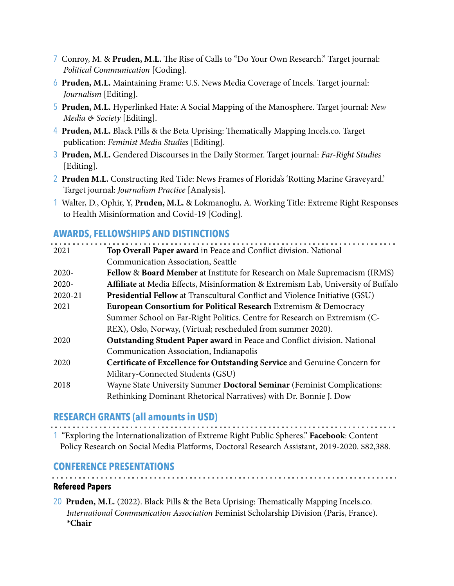- 7 Conroy, M. & **Pruden, M.L.** The Rise of Calls to "Do Your Own Research." Target journal: *Political Communication* [Coding].
- 6 **Pruden, M.L.** Maintaining Frame: U.S. News Media Coverage of Incels. Target journal: *Journalism* [Editing].
- 5 **Pruden, M.L.** Hyperlinked Hate: A Social Mapping of the Manosphere. Target journal: *New Media & Society* [Editing].
- 4 **Pruden, M.L.** Black Pills & the Beta Uprising: Thematically Mapping Incels.co. Target publication: *Feminist Media Studies* [Editing].
- 3 **Pruden, M.L.** Gendered Discourses in the Daily Stormer. Target journal: *Far-Right Studies*  [Editing].
- 2 **Pruden M.L.** Constructing Red Tide: News Frames of Florida's 'Rotting Marine Graveyard.' Target journal: *Journalism Practice* [Analysis].
- 1 Walter, D., Ophir, Y, **Pruden, M.L.** & Lokmanoglu, A. Working Title: Extreme Right Responses to Health Misinformation and Covid-19 [Coding].

### **AWARDS, FELLOWSHIPS AND DISTINCTIONS**

| 2021     | Top Overall Paper award in Peace and Conflict division. National                   |
|----------|------------------------------------------------------------------------------------|
|          | Communication Association, Seattle                                                 |
| $2020 -$ | Fellow & Board Member at Institute for Research on Male Supremacism (IRMS)         |
| 2020-    | Affiliate at Media Effects, Misinformation & Extremism Lab, University of Buffalo  |
| 2020-21  | <b>Presidential Fellow</b> at Transcultural Conflict and Violence Initiative (GSU) |
| 2021     | European Consortium for Political Research Extremism & Democracy                   |
|          | Summer School on Far-Right Politics. Centre for Research on Extremism (C-          |
|          | REX), Oslo, Norway, (Virtual; rescheduled from summer 2020).                       |
| 2020     | Outstanding Student Paper award in Peace and Conflict division. National           |
|          | Communication Association, Indianapolis                                            |
| 2020     | Certificate of Excellence for Outstanding Service and Genuine Concern for          |
|          | Military-Connected Students (GSU)                                                  |
| 2018     | Wayne State University Summer Doctoral Seminar (Feminist Complications:            |
|          | Rethinking Dominant Rhetorical Narratives) with Dr. Bonnie J. Dow                  |

# **RESEARCH GRANTS (all amounts in USD)**

1 "Exploring the Internationalization of Extreme Right Public Spheres." **Facebook**: Content Policy Research on Social Media Platforms, Doctoral Research Assistant, 2019-2020. \$82,388.

### **CONFERENCE PRESENTATIONS**

**Refereed Papers**

20 **Pruden, M.L.** (2022). Black Pills & the Beta Uprising: Thematically Mapping Incels.co. *International Communication Association* Feminist Scholarship Division (Paris, France). **\*Chair**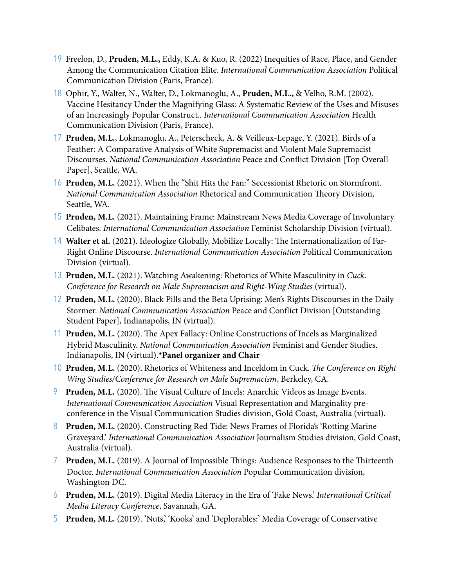- 19 Freelon, D., **Pruden, M.L.,** Eddy, K.A. & Kuo, R. (2022) Inequities of Race, Place, and Gender Among the Communication Citation Elite. *International Communication Association* Political Communication Division (Paris, France).
- 18 Ophir, Y., Walter, N., Walter, D., Lokmanoglu, A., **Pruden, M.L.,** & Velho, R.M. (2002). Vaccine Hesitancy Under the Magnifying Glass: A Systematic Review of the Uses and Misuses of an Increasingly Popular Construct.. *International Communication Association* Health Communication Division (Paris, France).
- 17 **Pruden, M.L.**, Lokmanoglu, A., Peterscheck, A. & Veilleux-Lepage, Y. (2021). Birds of a Feather: A Comparative Analysis of White Supremacist and Violent Male Supremacist Discourses. *National Communication Association* Peace and Conflict Division [Top Overall Paper], Seattle, WA.
- 16 **Pruden, M.L.** (2021). When the "Shit Hits the Fan:" Secessionist Rhetoric on Stormfront. *National Communication Association* Rhetorical and Communication Theory Division, Seattle, WA.
- 15 **Pruden, M.L.** (2021). Maintaining Frame: Mainstream News Media Coverage of Involuntary Celibates. *International Communication Association* Feminist Scholarship Division (virtual).
- 14 **Walter et al.** (2021). Ideologize Globally, Mobilize Locally: The Internationalization of Far-Right Online Discourse. *International Communication Association* Political Communication Division (virtual).
- 13 **Pruden, M.L.** (2021). Watching Awakening: Rhetorics of White Masculinity in *Cuck*. *Conference for Research on Male Supremacism and Right-Wing Studies (virtual).*
- 12 **Pruden, M.L.** (2020). Black Pills and the Beta Uprising: Men's Rights Discourses in the Daily Stormer. *National Communication Association* Peace and Conflict Division [Outstanding Student Paper], Indianapolis, IN (virtual).
- 11 **Pruden, M.L.** (2020). The Apex Fallacy: Online Constructions of Incels as Marginalized Hybrid Masculinity. *National Communication Association* Feminist and Gender Studies. Indianapolis, IN (virtual).**\*Panel organizer and Chair**
- 10 **Pruden, M.L.** (2020). Rhetorics of Whiteness and Inceldom in Cuck. Th*e Conference on Right Wing Studies/Conference for Research on Male Supremacism*, Berkeley, CA.
- 9 **Pruden, M.L.** (2020). The Visual Culture of Incels: Anarchic Videos as Image Events. *International Communication Association* Visual Representation and Marginality preconference in the Visual Communication Studies division, Gold Coast, Australia (virtual).
- 8 **Pruden, M.L.** (2020). Constructing Red Tide: News Frames of Florida's 'Rotting Marine Graveyard.' *International Communication Association* Journalism Studies division, Gold Coast, Australia (virtual).
- 7 **Pruden, M.L.** (2019). A Journal of Impossible Things: Audience Responses to the Thirteenth Doctor. *International Communication Association* Popular Communication division, Washington DC.
- 6 **Pruden, M.L.** (2019). Digital Media Literacy in the Era of 'Fake News.' *International Critical Media Literacy Conference*, Savannah, GA.
- 5 **Pruden, M.L.** (2019). 'Nuts,' 'Kooks' and 'Deplorables:' Media Coverage of Conservative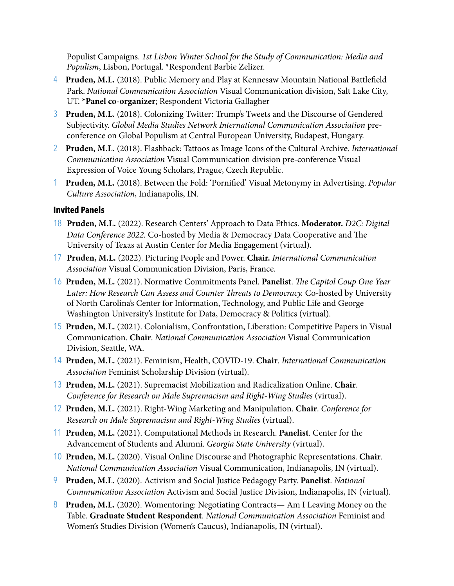Populist Campaigns. *1st Lisbon Winter School for the Study of Communication: Media and Populism*, Lisbon, Portugal. \*Respondent Barbie Zelizer.

- 4 **Pruden, M.L.** (2018). Public Memory and Play at Kennesaw Mountain National Battlefield Park. *National Communication Association* Visual Communication division, Salt Lake City, UT. **\*Panel co-organizer**; Respondent Victoria Gallagher
- 3 **Pruden, M.L.** (2018). Colonizing Twitter: Trump's Tweets and the Discourse of Gendered Subjectivity. *Global Media Studies Network International Communication Association* preconference on Global Populism at Central European University, Budapest, Hungary.
- 2 **Pruden, M.L.** (2018). Flashback: Tattoos as Image Icons of the Cultural Archive. *International Communication Association* Visual Communication division pre-conference Visual Expression of Voice Young Scholars, Prague, Czech Republic.
- 1 **Pruden, M.L.** (2018). Between the Fold: 'Pornified' Visual Metonymy in Advertising. *Popular Culture Association*, Indianapolis, IN.

### **Invited Panels**

- 18 **Pruden, M.L.** (2022). Research Centers' Approach to Data Ethics. **Moderator.** *D2C: Digital Data Conference 2022.* Co-hosted by Media & Democracy Data Cooperative and The University of Texas at Austin Center for Media Engagement (virtual).
- 17 **Pruden, M.L.** (2022). Picturing People and Power. **Chair.** *International Communication Association* Visual Communication Division, Paris, France.
- 16 **Pruden, M.L.** (2021). Normative Commitments Panel. **Panelist**. Th*e Capitol Coup One Year Later: How Research Can Assess and Counter* Th*reats to Democracy.* Co-hosted by University of North Carolina's Center for Information, Technology, and Public Life and George Washington University's Institute for Data, Democracy & Politics (virtual).
- 15 **Pruden, M.L.** (2021). Colonialism, Confrontation, Liberation: Competitive Papers in Visual Communication. **Chair**. *National Communication Association* Visual Communication Division, Seattle, WA.
- 14 **Pruden, M.L.** (2021). Feminism, Health, COVID-19. **Chair**. *International Communication Association* Feminist Scholarship Division (virtual).
- 13 **Pruden, M.L.** (2021). Supremacist Mobilization and Radicalization Online. **Chair**. *Conference for Research on Male Supremacism and Right-Wing Studies (virtual).*
- 12 **Pruden, M.L.** (2021). Right-Wing Marketing and Manipulation. **Chair**. *Conference for Research on Male Supremacism and Right-Wing Studies* (virtual).
- 11 **Pruden, M.L.** (2021). Computational Methods in Research. **Panelist**. Center for the Advancement of Students and Alumni. *Georgia State University* (virtual).
- 10 **Pruden, M.L.** (2020). Visual Online Discourse and Photographic Representations. **Chair**. *National Communication Association* Visual Communication, Indianapolis, IN (virtual).
- 9 **Pruden, M.L.** (2020). Activism and Social Justice Pedagogy Party. **Panelist**. *National Communication Association* Activism and Social Justice Division, Indianapolis, IN (virtual).
- 8 **Pruden, M.L.** (2020). Womentoring: Negotiating Contracts— Am I Leaving Money on the Table. **Graduate Student Respondent**. *National Communication Association* Feminist and Women's Studies Division (Women's Caucus), Indianapolis, IN (virtual).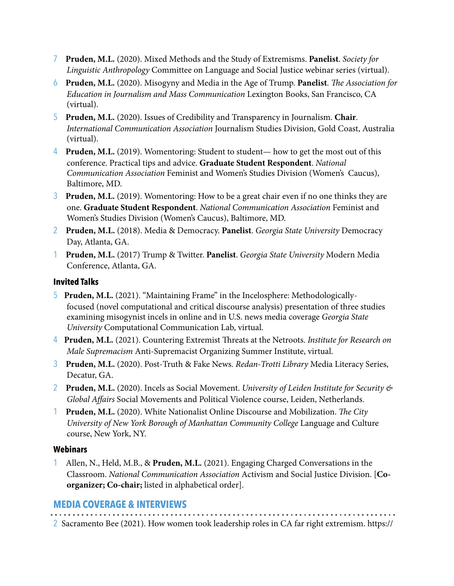- 7 **Pruden, M.L.** (2020). Mixed Methods and the Study of Extremisms. **Panelist**. *Society for Linguistic Anthropology* Committee on Language and Social Justice webinar series (virtual).
- 6 **Pruden, M.L.** (2020). Misogyny and Media in the Age of Trump. **Panelist**. Th*e Association for Education in Journalism and Mass Communication* Lexington Books, San Francisco, CA (virtual).
- 5 **Pruden, M.L.** (2020). Issues of Credibility and Transparency in Journalism. **Chair**. *International Communication Association* Journalism Studies Division, Gold Coast, Australia (virtual).
- 4 **Pruden, M.L.** (2019). Womentoring: Student to student— how to get the most out of this conference. Practical tips and advice. **Graduate Student Respondent**. *National Communication Association* Feminist and Women's Studies Division (Women's Caucus), Baltimore, MD.
- 3 **Pruden, M.L.** (2019). Womentoring: How to be a great chair even if no one thinks they are one. **Graduate Student Respondent**. *National Communication Association* Feminist and Women's Studies Division (Women's Caucus), Baltimore, MD.
- 2 **Pruden, M.L.** (2018). Media & Democracy. **Panelist**. *Georgia State University* Democracy Day, Atlanta, GA.
- 1 **Pruden, M.L.** (2017) Trump & Twitter. **Panelist**. *Georgia State University* Modern Media Conference, Atlanta, GA.

### **Invited Talks**

- 5 **Pruden, M.L.** (2021). "Maintaining Frame" in the Incelosphere: Methodologicallyfocused (novel computational and critical discourse analysis) presentation of three studies examining misogynist incels in online and in U.S. news media coverage *Georgia State University* Computational Communication Lab, virtual.
- 4 **Pruden, M.L.** (2021). Countering Extremist Threats at the Netroots. *Institute for Research on Male Supremacism* Anti-Supremacist Organizing Summer Institute, virtual.
- 3 **Pruden, M.L.** (2020). Post-Truth & Fake News. *Redan-Trotti Library* Media Literacy Series, Decatur, GA.
- 2 **Pruden, M.L.** (2020). Incels as Social Movement. *University of Leiden Institute for Security & Global A*ff*airs* Social Movements and Political Violence course, Leiden, Netherlands.
- 1 **Pruden, M.L.** (2020). White Nationalist Online Discourse and Mobilization. Th*e City University of New York Borough of Manhattan Community College* Language and Culture course, New York, NY.

### **Webinars**

1 Allen, N., Held, M.B., & **Pruden, M.L.** (2021). Engaging Charged Conversations in the Classroom. *National Communication Association* Activism and Social Justice Division. [**Coorganizer; Co-chair;** listed in alphabetical order].

# **MEDIA COVERAGE & INTERVIEWS**

2 Sacramento Bee (2021). How women took leadership roles in CA far right extremism. https://

. . . . . . . . . . . . . . .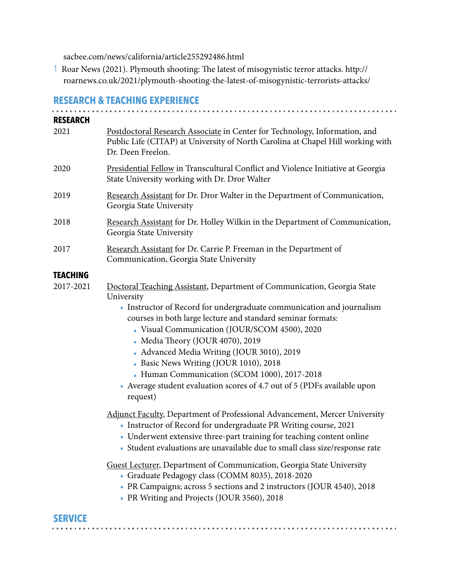sacbee.com/news/california/article255292486.html

1 Roar News (2021). Plymouth shooting: The latest of misogynistic terror attacks. http:// roarnews.co.uk/2021/plymouth-shooting-the-latest-of-misogynistic-terrorists-attacks/

### **RESEARCH & TEACHING EXPERIENCE**

| <b>RESEARCH</b> |                                                                                                                                                                                                                                                                                                                                                                                                                                                                                                                                                  |
|-----------------|--------------------------------------------------------------------------------------------------------------------------------------------------------------------------------------------------------------------------------------------------------------------------------------------------------------------------------------------------------------------------------------------------------------------------------------------------------------------------------------------------------------------------------------------------|
| 2021            | Postdoctoral Research Associate in Center for Technology, Information, and<br>Public Life (CITAP) at University of North Carolina at Chapel Hill working with<br>Dr. Deen Freelon.                                                                                                                                                                                                                                                                                                                                                               |
| 2020            | Presidential Fellow in Transcultural Conflict and Violence Initiative at Georgia<br>State University working with Dr. Dror Walter                                                                                                                                                                                                                                                                                                                                                                                                                |
| 2019            | Research Assistant for Dr. Dror Walter in the Department of Communication,<br>Georgia State University                                                                                                                                                                                                                                                                                                                                                                                                                                           |
| 2018            | Research Assistant for Dr. Holley Wilkin in the Department of Communication,<br>Georgia State University                                                                                                                                                                                                                                                                                                                                                                                                                                         |
| 2017            | Research Assistant for Dr. Carrie P. Freeman in the Department of<br>Communication, Georgia State University                                                                                                                                                                                                                                                                                                                                                                                                                                     |
| <b>TEACHING</b> |                                                                                                                                                                                                                                                                                                                                                                                                                                                                                                                                                  |
| 2017-2021       | Doctoral Teaching Assistant, Department of Communication, Georgia State<br>University<br>• Instructor of Record for undergraduate communication and journalism<br>courses in both large lecture and standard seminar formats:<br>• Visual Communication (JOUR/SCOM 4500), 2020<br>• Media Theory (JOUR 4070), 2019<br>• Advanced Media Writing (JOUR 3010), 2019<br>Basic News Writing (JOUR 1010), 2018<br>• Human Communication (SCOM 1000), 2017-2018<br>• Average student evaluation scores of 4.7 out of 5 (PDFs available upon<br>request) |
|                 | <b>Adjunct Faculty, Department of Professional Advancement, Mercer University</b><br>• Instructor of Record for undergraduate PR Writing course, 2021<br>• Underwent extensive three-part training for teaching content online<br>• Student evaluations are unavailable due to small class size/response rate                                                                                                                                                                                                                                    |
|                 | Guest Lecturer, Department of Communication, Georgia State University<br>• Graduate Pedagogy class (COMM 8035), 2018-2020<br>• PR Campaigns; across 5 sections and 2 instructors (JOUR 4540), 2018<br>• PR Writing and Projects (JOUR 3560), 2018                                                                                                                                                                                                                                                                                                |

# **SERVICE**

. . . . . . . . . . . .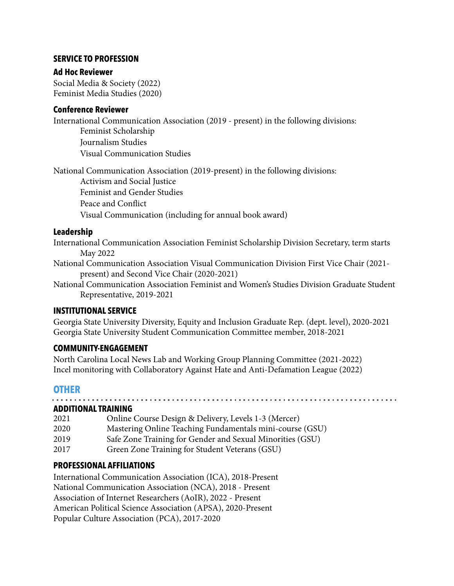### **SERVICE TO PROFESSION**

### **Ad Hoc Reviewer**

Social Media & Society (2022) Feminist Media Studies (2020)

### **Conference Reviewer**

International Communication Association (2019 - present) in the following divisions: Feminist Scholarship Journalism Studies Visual Communication Studies

National Communication Association (2019-present) in the following divisions: Activism and Social Justice Feminist and Gender Studies Peace and Conflict Visual Communication (including for annual book award)

### **Leadership**

International Communication Association Feminist Scholarship Division Secretary, term starts May 2022

National Communication Association Visual Communication Division First Vice Chair (2021 present) and Second Vice Chair (2020-2021)

National Communication Association Feminist and Women's Studies Division Graduate Student Representative, 2019-2021

### **INSTITUTIONAL SERVICE**

Georgia State University Diversity, Equity and Inclusion Graduate Rep. (dept. level), 2020-2021 Georgia State University Student Communication Committee member, 2018-2021

### **COMMUNITY-ENGAGEMENT**

North Carolina Local News Lab and Working Group Planning Committee (2021-2022) Incel monitoring with Collaboratory Against Hate and Anti-Defamation League (2022)

# **OTHER**

### **ADDITIONAL TRAINING**

| APPITIVINAL I IVALININ Y |                                                           |  |
|--------------------------|-----------------------------------------------------------|--|
| 2021                     | Online Course Design & Delivery, Levels 1-3 (Mercer)      |  |
| 2020                     | Mastering Online Teaching Fundamentals mini-course (GSU)  |  |
| 2019                     | Safe Zone Training for Gender and Sexual Minorities (GSU) |  |
| 2017                     | Green Zone Training for Student Veterans (GSU)            |  |
|                          |                                                           |  |

### **PROFESSIONAL AFFILIATIONS**

International Communication Association (ICA), 2018-Present National Communication Association (NCA), 2018 - Present Association of Internet Researchers (AoIR), 2022 - Present American Political Science Association (APSA), 2020-Present Popular Culture Association (PCA), 2017-2020